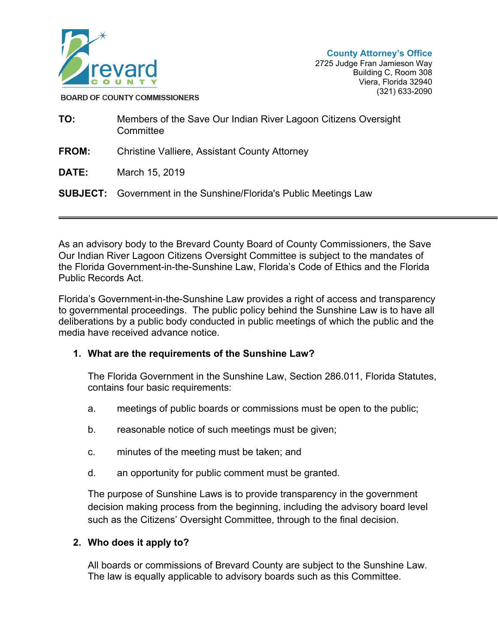

**BOARD OF COUNTY COMMISSIONERS** 

| TO:          | Members of the Save Our Indian River Lagoon Citizens Oversight<br>Committee |
|--------------|-----------------------------------------------------------------------------|
| <b>FROM:</b> | <b>Christine Valliere, Assistant County Attorney</b>                        |
| DATE:        | March 15, 2019                                                              |
|              | <b>SUBJECT:</b> Government in the Sunshine/Florida's Public Meetings Law    |
|              |                                                                             |

As an advisory body to the Brevard County Board of County Commissioners, the Save Our Indian River Lagoon Citizens Oversight Committee is subject to the mandates of the Florida Government-in-the-Sunshine Law, Florida's Code of Ethics and the Florida Public Records Act.

Florida's Government-in-the-Sunshine Law provides a right of access and transparency to governmental proceedings. The public policy behind the Sunshine Law is to have all deliberations by a public body conducted in public meetings of which the public and the media have received advance notice.

### **1. What are the requirements of the Sunshine Law?**

The Florida Government in the Sunshine Law, Section 286.011, Florida Statutes, contains four basic requirements:

- a. meetings of public boards or commissions must be open to the public;
- b. reasonable notice of such meetings must be given;
- c. minutes of the meeting must be taken; and
- d. an opportunity for public comment must be granted.

The purpose of Sunshine Laws is to provide transparency in the government decision making process from the beginning, including the advisory board level such as the Citizens' Oversight Committee, through to the final decision.

# **2. Who does it apply to?**

All boards or commissions of Brevard County are subject to the Sunshine Law. The law is equally applicable to advisory boards such as this Committee.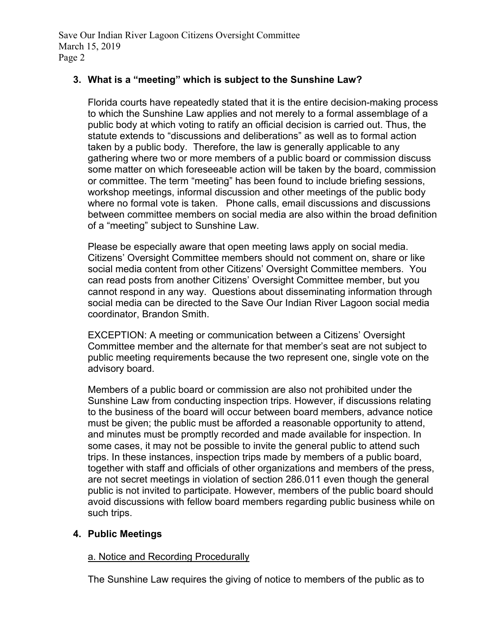# **3. What is a "meeting" which is subject to the Sunshine Law?**

Florida courts have repeatedly stated that it is the entire decision-making process to which the Sunshine Law applies and not merely to a formal assemblage of a public body at which voting to ratify an official decision is carried out. Thus, the statute extends to "discussions and deliberations" as well as to formal action taken by a public body. Therefore, the law is generally applicable to any gathering where two or more members of a public board or commission discuss some matter on which foreseeable action will be taken by the board, commission or committee. The term "meeting" has been found to include briefing sessions, workshop meetings, informal discussion and other meetings of the public body where no formal vote is taken. Phone calls, email discussions and discussions between committee members on social media are also within the broad definition of a "meeting" subject to Sunshine Law.

Please be especially aware that open meeting laws apply on social media. Citizens' Oversight Committee members should not comment on, share or like social media content from other Citizens' Oversight Committee members. You can read posts from another Citizens' Oversight Committee member, but you cannot respond in any way. Questions about disseminating information through social media can be directed to the Save Our Indian River Lagoon social media coordinator, Brandon Smith.

EXCEPTION: A meeting or communication between a Citizens' Oversight Committee member and the alternate for that member's seat are not subject to public meeting requirements because the two represent one, single vote on the advisory board.

Members of a public board or commission are also not prohibited under the Sunshine Law from conducting inspection trips. However, if discussions relating to the business of the board will occur between board members, advance notice must be given; the public must be afforded a reasonable opportunity to attend, and minutes must be promptly recorded and made available for inspection. In some cases, it may not be possible to invite the general public to attend such trips. In these instances, inspection trips made by members of a public board, together with staff and officials of other organizations and members of the press, are not secret meetings in violation of section 286.011 even though the general public is not invited to participate. However, members of the public board should avoid discussions with fellow board members regarding public business while on such trips.

# **4. Public Meetings**

# a. Notice and Recording Procedurally

The Sunshine Law requires the giving of notice to members of the public as to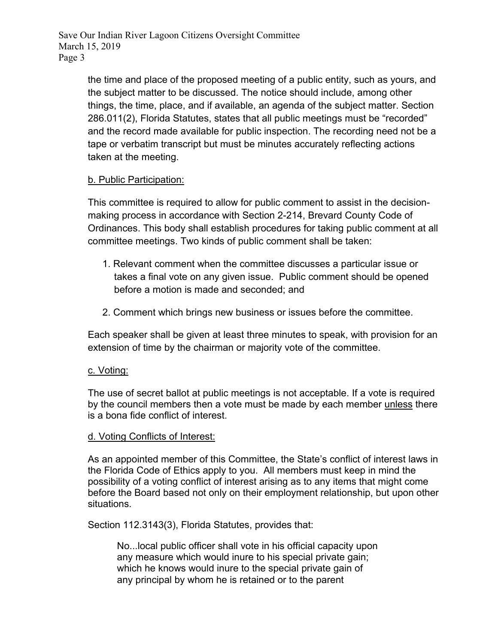> the time and place of the proposed meeting of a public entity, such as yours, and the subject matter to be discussed. The notice should include, among other things, the time, place, and if available, an agenda of the subject matter. Section 286.011(2), Florida Statutes, states that all public meetings must be "recorded" and the record made available for public inspection. The recording need not be a tape or verbatim transcript but must be minutes accurately reflecting actions taken at the meeting.

### b. Public Participation:

This committee is required to allow for public comment to assist in the decisionmaking process in accordance with Section 2-214, Brevard County Code of Ordinances. This body shall establish procedures for taking public comment at all committee meetings. Two kinds of public comment shall be taken:

- 1. Relevant comment when the committee discusses a particular issue or takes a final vote on any given issue. Public comment should be opened before a motion is made and seconded; and
- 2. Comment which brings new business or issues before the committee.

Each speaker shall be given at least three minutes to speak, with provision for an extension of time by the chairman or majority vote of the committee.

### c. Voting:

The use of secret ballot at public meetings is not acceptable. If a vote is required by the council members then a vote must be made by each member unless there is a bona fide conflict of interest.

### d. Voting Conflicts of Interest:

As an appointed member of this Committee, the State's conflict of interest laws in the Florida Code of Ethics apply to you. All members must keep in mind the possibility of a voting conflict of interest arising as to any items that might come before the Board based not only on their employment relationship, but upon other situations.

Section 112.3143(3), Florida Statutes, provides that:

No...local public officer shall vote in his official capacity upon any measure which would inure to his special private gain; which he knows would inure to the special private gain of any principal by whom he is retained or to the parent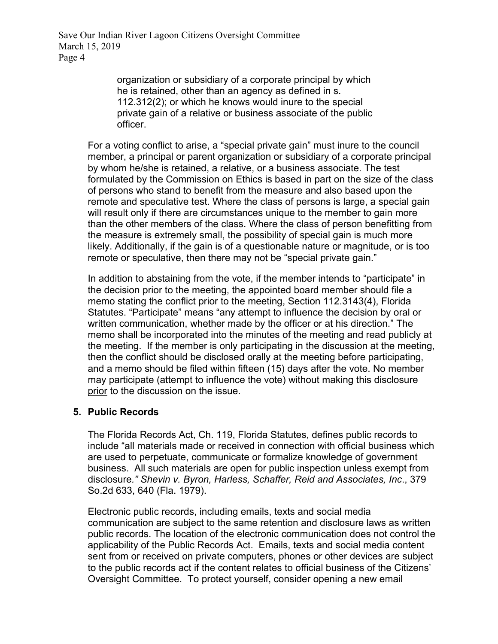> organization or subsidiary of a corporate principal by which he is retained, other than an agency as defined in s. 112.312(2); or which he knows would inure to the special private gain of a relative or business associate of the public officer.

For a voting conflict to arise, a "special private gain" must inure to the council member, a principal or parent organization or subsidiary of a corporate principal by whom he/she is retained, a relative, or a business associate. The test formulated by the Commission on Ethics is based in part on the size of the class of persons who stand to benefit from the measure and also based upon the remote and speculative test. Where the class of persons is large, a special gain will result only if there are circumstances unique to the member to gain more than the other members of the class. Where the class of person benefitting from the measure is extremely small, the possibility of special gain is much more likely. Additionally, if the gain is of a questionable nature or magnitude, or is too remote or speculative, then there may not be "special private gain."

In addition to abstaining from the vote, if the member intends to "participate" in the decision prior to the meeting, the appointed board member should file a memo stating the conflict prior to the meeting, Section 112.3143(4), Florida Statutes. "Participate" means "any attempt to influence the decision by oral or written communication, whether made by the officer or at his direction." The memo shall be incorporated into the minutes of the meeting and read publicly at the meeting. If the member is only participating in the discussion at the meeting, then the conflict should be disclosed orally at the meeting before participating, and a memo should be filed within fifteen (15) days after the vote. No member may participate (attempt to influence the vote) without making this disclosure prior to the discussion on the issue.

### **5. Public Records**

The Florida Records Act, Ch. 119, Florida Statutes, defines public records to include "all materials made or received in connection with official business which are used to perpetuate, communicate or formalize knowledge of government business. All such materials are open for public inspection unless exempt from disclosure*." Shevin v. Byron, Harless, Schaffer, Reid and Associates, Inc*., 379 So.2d 633, 640 (Fla. 1979).

Electronic public records, including emails, texts and social media communication are subject to the same retention and disclosure laws as written public records. The location of the electronic communication does not control the applicability of the Public Records Act. Emails, texts and social media content sent from or received on private computers, phones or other devices are subject to the public records act if the content relates to official business of the Citizens' Oversight Committee. To protect yourself, consider opening a new email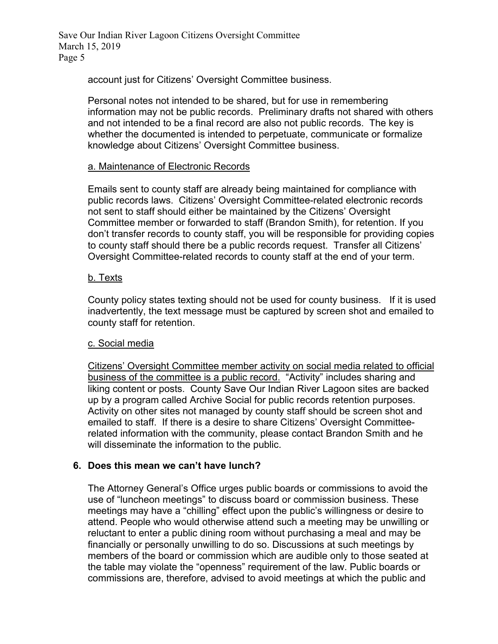account just for Citizens' Oversight Committee business.

Personal notes not intended to be shared, but for use in remembering information may not be public records. Preliminary drafts not shared with others and not intended to be a final record are also not public records. The key is whether the documented is intended to perpetuate, communicate or formalize knowledge about Citizens' Oversight Committee business.

### a. Maintenance of Electronic Records

Emails sent to county staff are already being maintained for compliance with public records laws. Citizens' Oversight Committee-related electronic records not sent to staff should either be maintained by the Citizens' Oversight Committee member or forwarded to staff (Brandon Smith), for retention. If you don't transfer records to county staff, you will be responsible for providing copies to county staff should there be a public records request. Transfer all Citizens' Oversight Committee-related records to county staff at the end of your term.

#### b. Texts

County policy states texting should not be used for county business. If it is used inadvertently, the text message must be captured by screen shot and emailed to county staff for retention.

#### c. Social media

Citizens' Oversight Committee member activity on social media related to official business of the committee is a public record. "Activity" includes sharing and liking content or posts. County Save Our Indian River Lagoon sites are backed up by a program called Archive Social for public records retention purposes. Activity on other sites not managed by county staff should be screen shot and emailed to staff. If there is a desire to share Citizens' Oversight Committeerelated information with the community, please contact Brandon Smith and he will disseminate the information to the public.

### **6. Does this mean we can't have lunch?**

The Attorney General's Office urges public boards or commissions to avoid the use of "luncheon meetings" to discuss board or commission business. These meetings may have a "chilling" effect upon the public's willingness or desire to attend. People who would otherwise attend such a meeting may be unwilling or reluctant to enter a public dining room without purchasing a meal and may be financially or personally unwilling to do so. Discussions at such meetings by members of the board or commission which are audible only to those seated at the table may violate the "openness" requirement of the law. Public boards or commissions are, therefore, advised to avoid meetings at which the public and